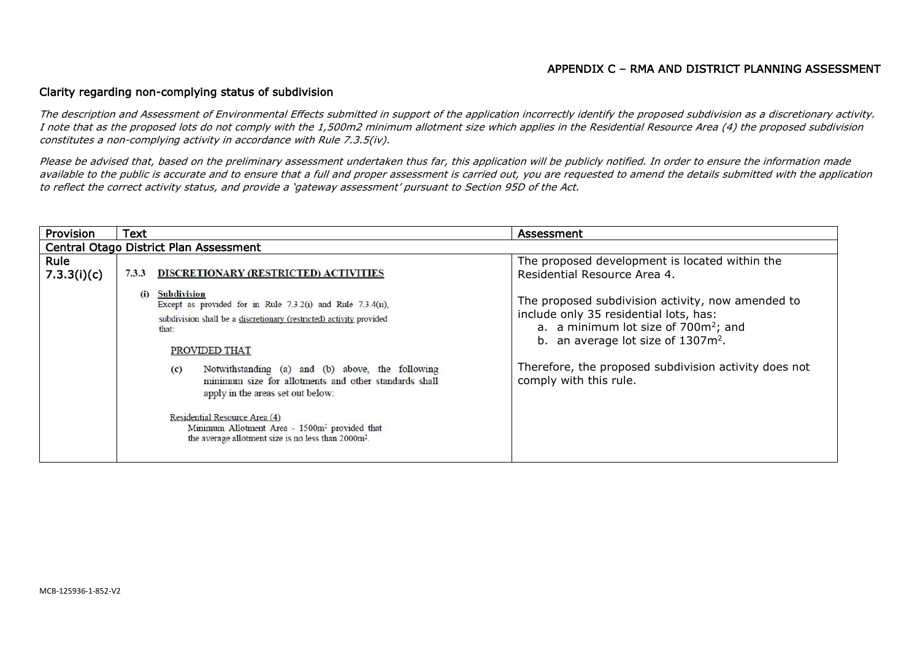## APPENDIX C – RMA AND DISTRICT PLANNING ASSESSMENT

## Clarity regarding non-complying status of subdivision

The description and Assessment of Environmental Effects submitted in support of the application incorrectly identify the proposed subdivision as a discretionary activity. I note that as the proposed lots do not comply with the 1,500m2 minimum allotment size which applies in the Residential Resource Area (4) the proposed subdivision constitutes a non-complying activity in accordance with Rule 7.3.5(iv).

Please be advised that, based on the preliminary assessment undertaken thus far, this application will be publicly notified. In order to ensure the information made available to the public is accurate and to ensure that a full and proper assessment is carried out, you are requested to amend the details submitted with the application to reflect the correct activity status, and provide a 'gateway assessment' pursuant to Section 95D of the Act.

| Provision                              | <b>Text</b>                                                                                                                                                                                                                                                                                                                                                                                                                                                                                                                                                         | Assessment                                                                                                                                                                                                                                                                                                                                                             |  |
|----------------------------------------|---------------------------------------------------------------------------------------------------------------------------------------------------------------------------------------------------------------------------------------------------------------------------------------------------------------------------------------------------------------------------------------------------------------------------------------------------------------------------------------------------------------------------------------------------------------------|------------------------------------------------------------------------------------------------------------------------------------------------------------------------------------------------------------------------------------------------------------------------------------------------------------------------------------------------------------------------|--|
| Central Otago District Plan Assessment |                                                                                                                                                                                                                                                                                                                                                                                                                                                                                                                                                                     |                                                                                                                                                                                                                                                                                                                                                                        |  |
| Rule<br>7.3.3(i)(c)                    | 7.3.3<br>DISCRETIONARY (RESTRICTED) ACTIVITIES<br>Subdivision<br>(i)<br>Except as provided for in Rule $7.3.2(i)$ and Rule $7.3.4(ii)$ ,<br>subdivision shall be a discretionary (restricted) activity provided<br>that:<br>PROVIDED THAT<br>Notwithstanding (a) and (b) above, the following<br>(c)<br>minimum size for allotments and other standards shall<br>apply in the areas set out below:<br>Residential Resource Area (4)<br>Minimum Allotment Area - 1500m <sup>2</sup> provided that<br>the average allotment size is no less than 2000m <sup>2</sup> . | The proposed development is located within the<br>Residential Resource Area 4.<br>The proposed subdivision activity, now amended to<br>include only 35 residential lots, has:<br>a. a minimum lot size of 700m <sup>2</sup> ; and<br>b. an average lot size of 1307m <sup>2</sup> .<br>Therefore, the proposed subdivision activity does not<br>comply with this rule. |  |
|                                        |                                                                                                                                                                                                                                                                                                                                                                                                                                                                                                                                                                     |                                                                                                                                                                                                                                                                                                                                                                        |  |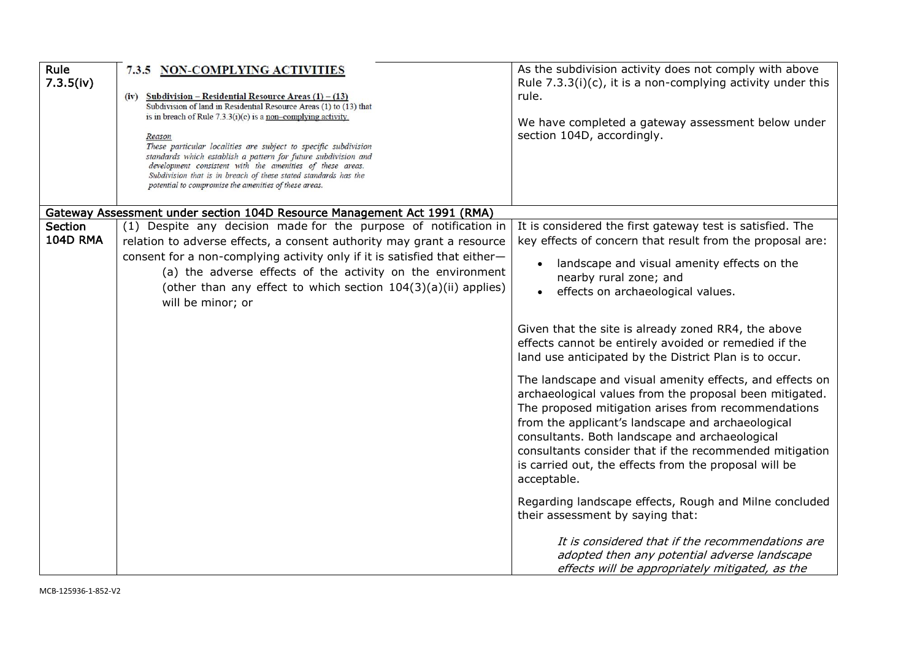| Rule<br>7.3.5(iv)          | 7.3.5 NON-COMPLYING ACTIVITIES<br>(iv) Subdivision – Residential Resource Areas $(1) - (13)$<br>Subdivision of land in Residential Resource Areas (1) to (13) that<br>is in breach of Rule $7.3.3(i)(c)$ is a non-complying activity.<br>Reason<br>These particular localities are subject to specific subdivision<br>standards which establish a pattern for future subdivision and<br>development consistent with the amenities of these areas.<br>Subdivision that is in breach of these stated standards has the<br>potential to compromise the amenities of these areas. | As the subdivision activity does not comply with above<br>Rule $7.3.3(i)(c)$ , it is a non-complying activity under this<br>rule.<br>We have completed a gateway assessment below under<br>section 104D, accordingly.                                                                                                                                                                                                |
|----------------------------|-------------------------------------------------------------------------------------------------------------------------------------------------------------------------------------------------------------------------------------------------------------------------------------------------------------------------------------------------------------------------------------------------------------------------------------------------------------------------------------------------------------------------------------------------------------------------------|----------------------------------------------------------------------------------------------------------------------------------------------------------------------------------------------------------------------------------------------------------------------------------------------------------------------------------------------------------------------------------------------------------------------|
|                            | Gateway Assessment under section 104D Resource Management Act 1991 (RMA)                                                                                                                                                                                                                                                                                                                                                                                                                                                                                                      |                                                                                                                                                                                                                                                                                                                                                                                                                      |
| Section<br><b>104D RMA</b> | (1) Despite any decision made for the purpose of notification in<br>relation to adverse effects, a consent authority may grant a resource                                                                                                                                                                                                                                                                                                                                                                                                                                     | It is considered the first gateway test is satisfied. The<br>key effects of concern that result from the proposal are:                                                                                                                                                                                                                                                                                               |
|                            | consent for a non-complying activity only if it is satisfied that either-<br>(a) the adverse effects of the activity on the environment<br>(other than any effect to which section 104(3)(a)(ii) applies)<br>will be minor; or                                                                                                                                                                                                                                                                                                                                                | landscape and visual amenity effects on the<br>nearby rural zone; and<br>effects on archaeological values.                                                                                                                                                                                                                                                                                                           |
|                            |                                                                                                                                                                                                                                                                                                                                                                                                                                                                                                                                                                               | Given that the site is already zoned RR4, the above<br>effects cannot be entirely avoided or remedied if the<br>land use anticipated by the District Plan is to occur.                                                                                                                                                                                                                                               |
|                            |                                                                                                                                                                                                                                                                                                                                                                                                                                                                                                                                                                               | The landscape and visual amenity effects, and effects on<br>archaeological values from the proposal been mitigated.<br>The proposed mitigation arises from recommendations<br>from the applicant's landscape and archaeological<br>consultants. Both landscape and archaeological<br>consultants consider that if the recommended mitigation<br>is carried out, the effects from the proposal will be<br>acceptable. |
|                            |                                                                                                                                                                                                                                                                                                                                                                                                                                                                                                                                                                               | Regarding landscape effects, Rough and Milne concluded<br>their assessment by saying that:<br>It is considered that if the recommendations are                                                                                                                                                                                                                                                                       |
|                            |                                                                                                                                                                                                                                                                                                                                                                                                                                                                                                                                                                               | adopted then any potential adverse landscape<br>effects will be appropriately mitigated, as the                                                                                                                                                                                                                                                                                                                      |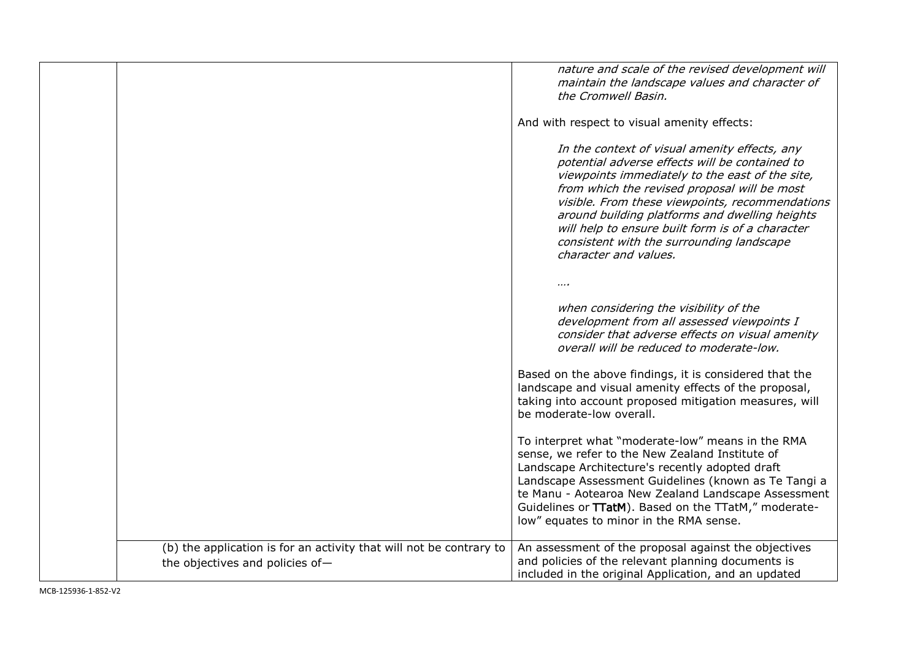|                                                                                                        | nature and scale of the revised development will<br>maintain the landscape values and character of<br>the Cromwell Basin.                                                                                                                                                                                                                                                                                                         |
|--------------------------------------------------------------------------------------------------------|-----------------------------------------------------------------------------------------------------------------------------------------------------------------------------------------------------------------------------------------------------------------------------------------------------------------------------------------------------------------------------------------------------------------------------------|
|                                                                                                        | And with respect to visual amenity effects:                                                                                                                                                                                                                                                                                                                                                                                       |
|                                                                                                        | In the context of visual amenity effects, any<br>potential adverse effects will be contained to<br>viewpoints immediately to the east of the site,<br>from which the revised proposal will be most<br>visible. From these viewpoints, recommendations<br>around building platforms and dwelling heights<br>will help to ensure built form is of a character<br>consistent with the surrounding landscape<br>character and values. |
|                                                                                                        |                                                                                                                                                                                                                                                                                                                                                                                                                                   |
|                                                                                                        | when considering the visibility of the<br>development from all assessed viewpoints I<br>consider that adverse effects on visual amenity<br>overall will be reduced to moderate-low.                                                                                                                                                                                                                                               |
|                                                                                                        | Based on the above findings, it is considered that the<br>landscape and visual amenity effects of the proposal,<br>taking into account proposed mitigation measures, will<br>be moderate-low overall.                                                                                                                                                                                                                             |
|                                                                                                        | To interpret what "moderate-low" means in the RMA<br>sense, we refer to the New Zealand Institute of<br>Landscape Architecture's recently adopted draft<br>Landscape Assessment Guidelines (known as Te Tangi a<br>te Manu - Aotearoa New Zealand Landscape Assessment<br>Guidelines or TTatM). Based on the TTatM," moderate-<br>low" equates to minor in the RMA sense.                                                         |
| (b) the application is for an activity that will not be contrary to<br>the objectives and policies of- | An assessment of the proposal against the objectives<br>and policies of the relevant planning documents is<br>included in the original Application, and an updated                                                                                                                                                                                                                                                                |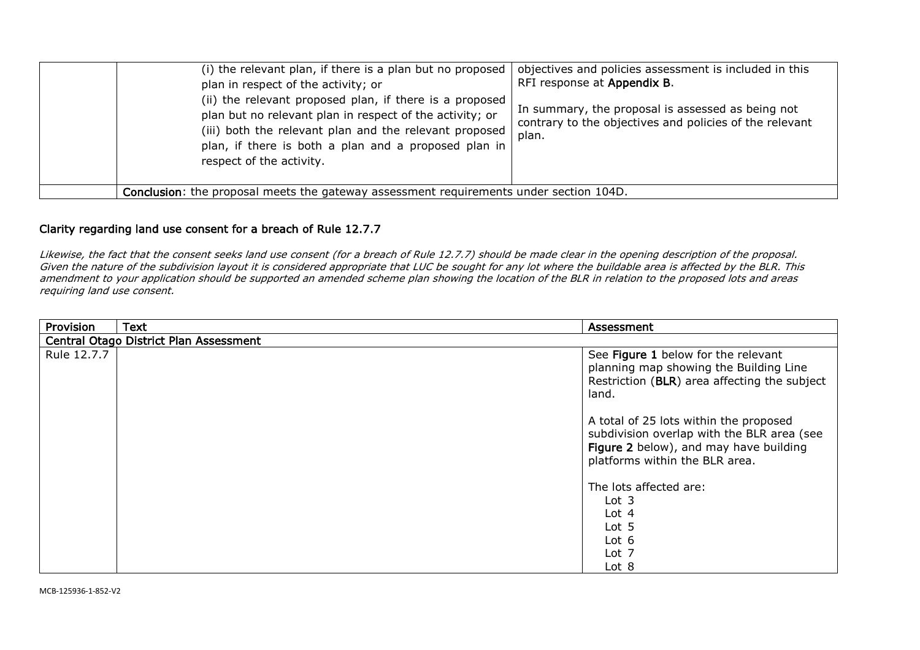| (i) the relevant plan, if there is a plan but no proposed<br>plan in respect of the activity; or<br>(ii) the relevant proposed plan, if there is a proposed<br>plan but no relevant plan in respect of the activity; or<br>(iii) both the relevant plan and the relevant proposed<br>plan, if there is both a plan and a proposed plan in<br>respect of the activity. | objectives and policies assessment is included in this<br>RFI response at Appendix B.<br>In summary, the proposal is assessed as being not<br>contrary to the objectives and policies of the relevant<br>plan. |  |
|-----------------------------------------------------------------------------------------------------------------------------------------------------------------------------------------------------------------------------------------------------------------------------------------------------------------------------------------------------------------------|----------------------------------------------------------------------------------------------------------------------------------------------------------------------------------------------------------------|--|
| Conclusion: the proposal meets the gateway assessment requirements under section 104D.                                                                                                                                                                                                                                                                                |                                                                                                                                                                                                                |  |

## Clarity regarding land use consent for a breach of Rule 12.7.7

Likewise, the fact that the consent seeks land use consent (for a breach of Rule 12.7.7) should be made clear in the opening description of the proposal. Given the nature of the subdivision layout it is considered appropriate that LUC be sought for any lot where the buildable area is affected by the BLR. This amendment to your application should be supported an amended scheme plan showing the location of the BLR in relation to the proposed lots and areas requiring land use consent.

| Provision   | <b>Text</b>                            | Assessment                                                                                                                                                       |  |
|-------------|----------------------------------------|------------------------------------------------------------------------------------------------------------------------------------------------------------------|--|
|             | Central Otago District Plan Assessment |                                                                                                                                                                  |  |
| Rule 12.7.7 |                                        | See Figure 1 below for the relevant<br>planning map showing the Building Line<br>Restriction (BLR) area affecting the subject<br>land.                           |  |
|             |                                        | A total of 25 lots within the proposed<br>subdivision overlap with the BLR area (see<br>Figure 2 below), and may have building<br>platforms within the BLR area. |  |
|             |                                        | The lots affected are:<br>Lot <sub>3</sub><br>Lot $4$<br>Lot 5<br>Lot $6$<br>Lot 7<br>Lot 8                                                                      |  |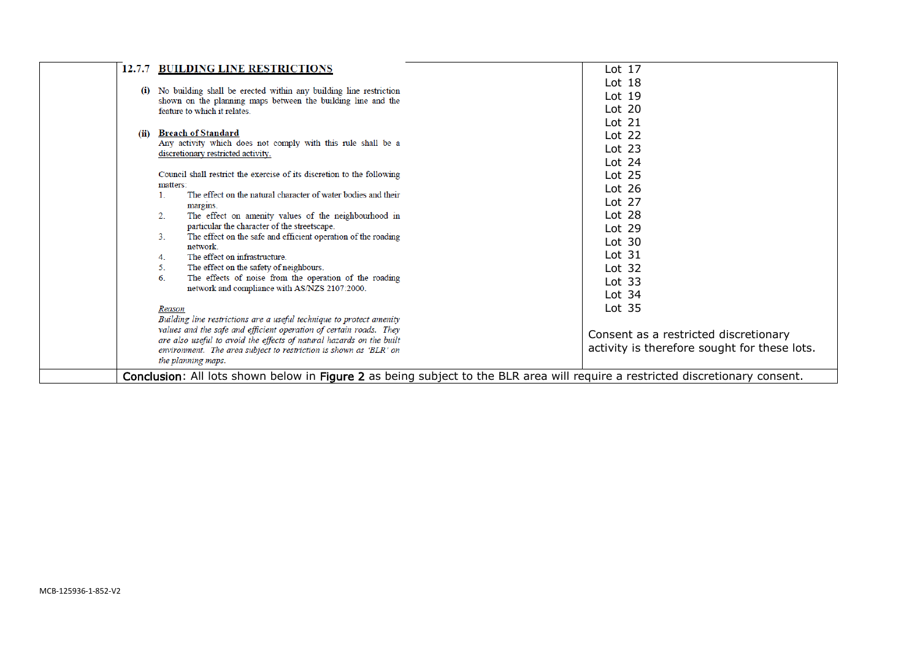|                     | 12.7.7 BUILDING LINE RESTRICTIONS                                                                                                          | Lot $17$                                     |  |
|---------------------|--------------------------------------------------------------------------------------------------------------------------------------------|----------------------------------------------|--|
|                     |                                                                                                                                            | Lot $18$                                     |  |
| (i)                 | No building shall be erected within any building line restriction<br>shown on the planning maps between the building line and the          | Lot $19$                                     |  |
|                     | feature to which it relates.                                                                                                               | Lot $20$                                     |  |
|                     |                                                                                                                                            | Lot $21$                                     |  |
| (ii)                | <b>Breach of Standard</b>                                                                                                                  | Lot $22$                                     |  |
|                     | Any activity which does not comply with this rule shall be a<br>discretionary restricted activity.                                         | Lot $23$                                     |  |
|                     |                                                                                                                                            | Lot $24$                                     |  |
|                     | Council shall restrict the exercise of its discretion to the following                                                                     | Lot $25$                                     |  |
| matters:<br>$1_{-}$ | The effect on the natural character of water bodies and their                                                                              | Lot $26$                                     |  |
|                     | margins.                                                                                                                                   | Lot $27$                                     |  |
| 2.                  | The effect on amenity values of the neighbourhood in                                                                                       | Lot $28$                                     |  |
|                     | particular the character of the streetscape.                                                                                               | Lot $29$                                     |  |
| 3.                  | The effect on the safe and efficient operation of the roading<br>network.                                                                  | Lot $30$                                     |  |
| 4.                  | The effect on infrastructure.                                                                                                              | Lot $31$                                     |  |
| 5.                  | The effect on the safety of neighbours.                                                                                                    | Lot $32$                                     |  |
| 6.                  | The effects of noise from the operation of the roading<br>network and compliance with AS/NZS 2107:2000.                                    | Lot $33$                                     |  |
|                     |                                                                                                                                            | Lot $34$                                     |  |
| Reason              |                                                                                                                                            | Lot $35$                                     |  |
|                     | Building line restrictions are a useful technique to protect amenity                                                                       |                                              |  |
|                     | values and the safe and efficient operation of certain roads. They<br>are also useful to avoid the effects of natural hazards on the built | Consent as a restricted discretionary        |  |
|                     | environment. The area subject to restriction is shown as 'BLR' on                                                                          | activity is therefore sought for these lots. |  |
|                     | the planning maps.                                                                                                                         |                                              |  |
|                     | Conclusion: All lots shown below in Figure 2 as being subject to the BLR area will require a restricted discretionary consent.             |                                              |  |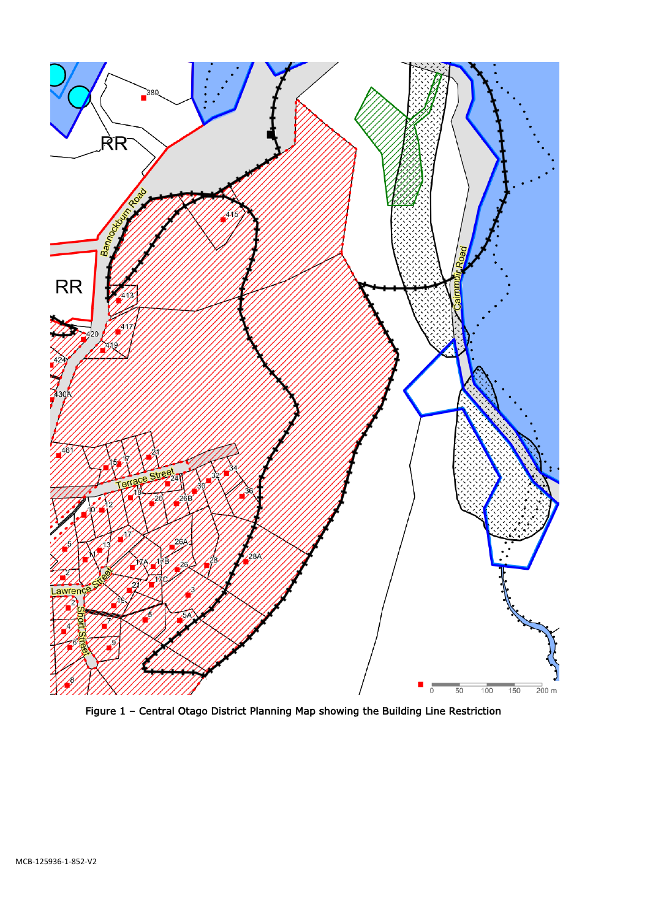

Figure 1 – Central Otago District Planning Map showing the Building Line Restriction